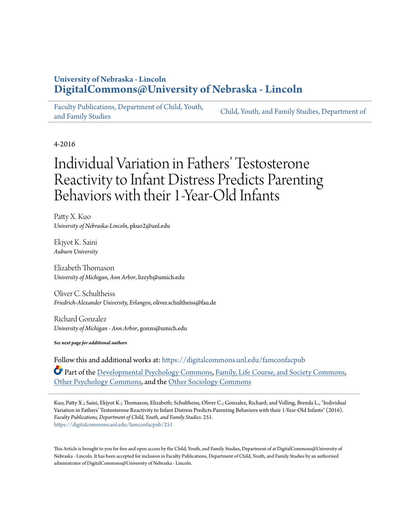# **University of Nebraska - Lincoln [DigitalCommons@University of Nebraska - Lincoln](https://digitalcommons.unl.edu?utm_source=digitalcommons.unl.edu%2Ffamconfacpub%2F251&utm_medium=PDF&utm_campaign=PDFCoverPages)**

[Faculty Publications, Department of Child, Youth,](https://digitalcommons.unl.edu/famconfacpub?utm_source=digitalcommons.unl.edu%2Ffamconfacpub%2F251&utm_medium=PDF&utm_campaign=PDFCoverPages) [and Family Studies](https://digitalcommons.unl.edu/famconfacpub?utm_source=digitalcommons.unl.edu%2Ffamconfacpub%2F251&utm_medium=PDF&utm_campaign=PDFCoverPages)

[Child, Youth, and Family Studies, Department of](https://digitalcommons.unl.edu/family_consumer_sci?utm_source=digitalcommons.unl.edu%2Ffamconfacpub%2F251&utm_medium=PDF&utm_campaign=PDFCoverPages)

4-2016

# Individual Variation in Fathers' Testosterone Reactivity to Infant Distress Predicts Parenting Behaviors with their 1-Year-Old Infants

Patty X. Kuo *University of Nebraska-Lincoln*, pkuo2@unl.edu

Ekjyot K. Saini *Auburn University*

Elizabeth Thomason *University of Michigan, Ann Arbor*, lizzyb@umich.edu

Oliver C. Schultheiss *Friedrich-Alexander University, Erlangen*, oliver.schultheiss@fau.de

Richard Gonzalez *University of Michigan - Ann Arbor*, gonzo@umich.edu

*See next page for additional authors*

Follow this and additional works at: [https://digitalcommons.unl.edu/famconfacpub](https://digitalcommons.unl.edu/famconfacpub?utm_source=digitalcommons.unl.edu%2Ffamconfacpub%2F251&utm_medium=PDF&utm_campaign=PDFCoverPages)

Part of the [Developmental Psychology Commons,](http://network.bepress.com/hgg/discipline/410?utm_source=digitalcommons.unl.edu%2Ffamconfacpub%2F251&utm_medium=PDF&utm_campaign=PDFCoverPages) [Family, Life Course, and Society Commons,](http://network.bepress.com/hgg/discipline/419?utm_source=digitalcommons.unl.edu%2Ffamconfacpub%2F251&utm_medium=PDF&utm_campaign=PDFCoverPages) [Other Psychology Commons](http://network.bepress.com/hgg/discipline/415?utm_source=digitalcommons.unl.edu%2Ffamconfacpub%2F251&utm_medium=PDF&utm_campaign=PDFCoverPages), and the [Other Sociology Commons](http://network.bepress.com/hgg/discipline/434?utm_source=digitalcommons.unl.edu%2Ffamconfacpub%2F251&utm_medium=PDF&utm_campaign=PDFCoverPages)

Kuo, Patty X.; Saini, Ekjyot K.; Thomason, Elizabeth; Schultheiss, Oliver C.; Gonzalez, Richard; and Volling, Brenda L., "Individual Variation in Fathers' Testosterone Reactivity to Infant Distress Predicts Parenting Behaviors with their 1-Year-Old Infants" (2016). *Faculty Publications, Department of Child, Youth, and Family Studies*. 251. [https://digitalcommons.unl.edu/famconfacpub/251](https://digitalcommons.unl.edu/famconfacpub/251?utm_source=digitalcommons.unl.edu%2Ffamconfacpub%2F251&utm_medium=PDF&utm_campaign=PDFCoverPages)

This Article is brought to you for free and open access by the Child, Youth, and Family Studies, Department of at DigitalCommons@University of Nebraska - Lincoln. It has been accepted for inclusion in Faculty Publications, Department of Child, Youth, and Family Studies by an authorized administrator of DigitalCommons@University of Nebraska - Lincoln.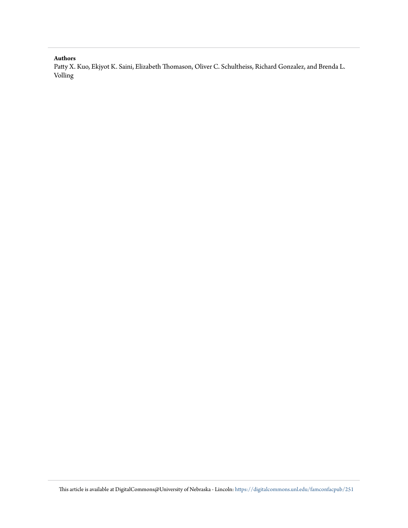#### **Authors**

Patty X. Kuo, Ekjyot K. Saini, Elizabeth Thomason, Oliver C. Schultheiss, Richard Gonzalez, and Brenda L. Volling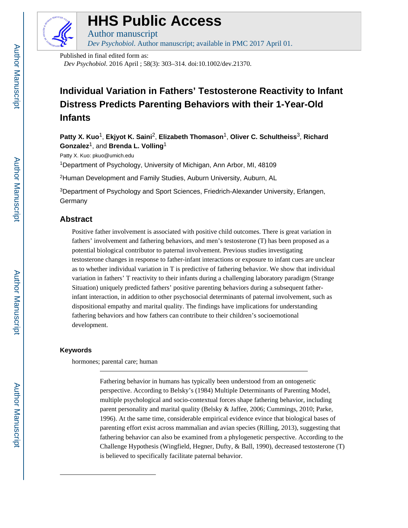

# **HHS Public Access**

Author manuscript *Dev Psychobiol*. Author manuscript; available in PMC 2017 April 01.

Published in final edited form as:

*Dev Psychobiol*. 2016 April ; 58(3): 303–314. doi:10.1002/dev.21370.

# **Individual Variation in Fathers' Testosterone Reactivity to Infant Distress Predicts Parenting Behaviors with their 1-Year-Old Infants**

**Patty X. Kuo**1, **Ekjyot K. Saini**2, **Elizabeth Thomason**1, **Oliver C. Schultheiss**3, **Richard Gonzalez**1, and **Brenda L. Volling**<sup>1</sup>

Patty X. Kuo: pkuo@umich.edu

<sup>1</sup>Department of Psychology, University of Michigan, Ann Arbor, MI, 48109

<sup>2</sup>Human Development and Family Studies, Auburn University, Auburn, AL

<sup>3</sup>Department of Psychology and Sport Sciences, Friedrich-Alexander University, Erlangen, **Germany** 

# **Abstract**

Positive father involvement is associated with positive child outcomes. There is great variation in fathers' involvement and fathering behaviors, and men's testosterone (T) has been proposed as a potential biological contributor to paternal involvement. Previous studies investigating testosterone changes in response to father-infant interactions or exposure to infant cues are unclear as to whether individual variation in T is predictive of fathering behavior. We show that individual variation in fathers' T reactivity to their infants during a challenging laboratory paradigm (Strange Situation) uniquely predicted fathers' positive parenting behaviors during a subsequent fatherinfant interaction, in addition to other psychosocial determinants of paternal involvement, such as dispositional empathy and marital quality. The findings have implications for understanding fathering behaviors and how fathers can contribute to their children's socioemotional development.

### **Keywords**

hormones; parental care; human

Fathering behavior in humans has typically been understood from an ontogenetic perspective. According to Belsky's (1984) Multiple Determinants of Parenting Model, multiple psychological and socio-contextual forces shape fathering behavior, including parent personality and marital quality (Belsky & Jaffee, 2006; Cummings, 2010; Parke, 1996). At the same time, considerable empirical evidence evince that biological bases of parenting effort exist across mammalian and avian species (Rilling, 2013), suggesting that fathering behavior can also be examined from a phylogenetic perspective. According to the Challenge Hypothesis (Wingfield, Hegner, Dufty, & Ball, 1990), decreased testosterone (T) is believed to specifically facilitate paternal behavior.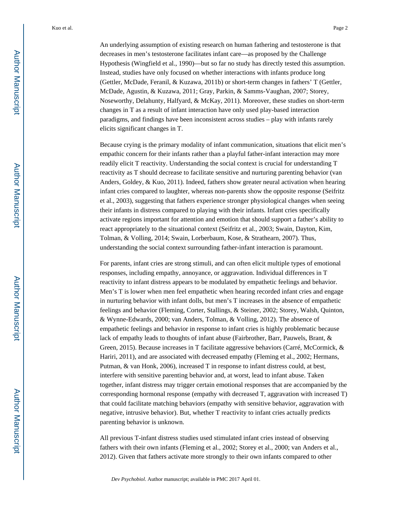An underlying assumption of existing research on human fathering and testosterone is that decreases in men's testosterone facilitates infant care—as proposed by the Challenge Hypothesis (Wingfield et al., 1990)—but so far no study has directly tested this assumption. Instead, studies have only focused on whether interactions with infants produce long (Gettler, McDade, Feranil, & Kuzawa, 2011b) or short-term changes in fathers' T (Gettler, McDade, Agustin, & Kuzawa, 2011; Gray, Parkin, & Samms-Vaughan, 2007; Storey, Noseworthy, Delahunty, Halfyard, & McKay, 2011). Moreover, these studies on short-term changes in T as a result of infant interaction have only used play-based interaction paradigms, and findings have been inconsistent across studies – play with infants rarely elicits significant changes in T.

Because crying is the primary modality of infant communication, situations that elicit men's empathic concern for their infants rather than a playful father-infant interaction may more readily elicit T reactivity. Understanding the social context is crucial for understanding T reactivity as T should decrease to facilitate sensitive and nurturing parenting behavior (van Anders, Goldey, & Kuo, 2011). Indeed, fathers show greater neural activation when hearing infant cries compared to laughter, whereas non-parents show the opposite response (Seifritz et al., 2003), suggesting that fathers experience stronger physiological changes when seeing their infants in distress compared to playing with their infants. Infant cries specifically activate regions important for attention and emotion that should support a father's ability to react appropriately to the situational context (Seifritz et al., 2003; Swain, Dayton, Kim, Tolman, & Volling, 2014; Swain, Lorberbaum, Kose, & Strathearn, 2007). Thus, understanding the social context surrounding father-infant interaction is paramount.

For parents, infant cries are strong stimuli, and can often elicit multiple types of emotional responses, including empathy, annoyance, or aggravation. Individual differences in T reactivity to infant distress appears to be modulated by empathetic feelings and behavior. Men's T is lower when men feel empathetic when hearing recorded infant cries and engage in nurturing behavior with infant dolls, but men's T increases in the absence of empathetic feelings and behavior (Fleming, Corter, Stallings, & Steiner, 2002; Storey, Walsh, Quinton, & Wynne-Edwards, 2000; van Anders, Tolman, & Volling, 2012). The absence of empathetic feelings and behavior in response to infant cries is highly problematic because lack of empathy leads to thoughts of infant abuse (Fairbrother, Barr, Pauwels, Brant, & Green, 2015). Because increases in T facilitate aggressive behaviors (Carré, McCormick, & Hariri, 2011), and are associated with decreased empathy (Fleming et al., 2002; Hermans, Putman, & van Honk, 2006), increased T in response to infant distress could, at best, interfere with sensitive parenting behavior and, at worst, lead to infant abuse. Taken together, infant distress may trigger certain emotional responses that are accompanied by the corresponding hormonal response (empathy with decreased T, aggravation with increased T) that could facilitate matching behaviors (empathy with sensitive behavior, aggravation with negative, intrusive behavior). But, whether T reactivity to infant cries actually predicts parenting behavior is unknown.

All previous T-infant distress studies used stimulated infant cries instead of observing fathers with their own infants (Fleming et al., 2002; Storey et al., 2000; van Anders et al., 2012). Given that fathers activate more strongly to their own infants compared to other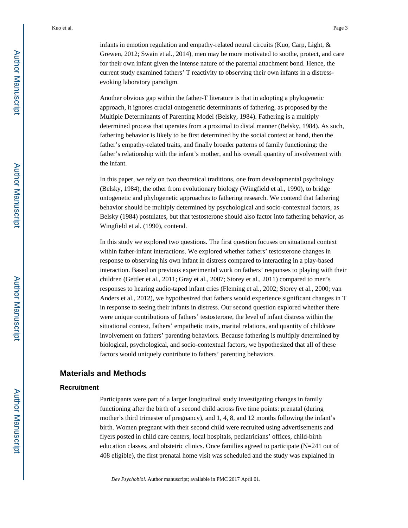infants in emotion regulation and empathy-related neural circuits (Kuo, Carp, Light, & Grewen, 2012; Swain et al., 2014), men may be more motivated to soothe, protect, and care for their own infant given the intense nature of the parental attachment bond. Hence, the current study examined fathers' T reactivity to observing their own infants in a distressevoking laboratory paradigm.

Another obvious gap within the father-T literature is that in adopting a phylogenetic approach, it ignores crucial ontogenetic determinants of fathering, as proposed by the Multiple Determinants of Parenting Model (Belsky, 1984). Fathering is a multiply determined process that operates from a proximal to distal manner (Belsky, 1984). As such, fathering behavior is likely to be first determined by the social context at hand, then the father's empathy-related traits, and finally broader patterns of family functioning: the father's relationship with the infant's mother, and his overall quantity of involvement with the infant.

In this paper, we rely on two theoretical traditions, one from developmental psychology (Belsky, 1984), the other from evolutionary biology (Wingfield et al., 1990), to bridge ontogenetic and phylogenetic approaches to fathering research. We contend that fathering behavior should be multiply determined by psychological and socio-contextual factors, as Belsky (1984) postulates, but that testosterone should also factor into fathering behavior, as Wingfield et al. (1990), contend.

In this study we explored two questions. The first question focuses on situational context within father-infant interactions. We explored whether fathers' testosterone changes in response to observing his own infant in distress compared to interacting in a play-based interaction. Based on previous experimental work on fathers' responses to playing with their children (Gettler et al., 2011; Gray et al., 2007; Storey et al., 2011) compared to men's responses to hearing audio-taped infant cries (Fleming et al., 2002; Storey et al., 2000; van Anders et al., 2012), we hypothesized that fathers would experience significant changes in T in response to seeing their infants in distress. Our second question explored whether there were unique contributions of fathers' testosterone, the level of infant distress within the situational context, fathers' empathetic traits, marital relations, and quantity of childcare involvement on fathers' parenting behaviors. Because fathering is multiply determined by biological, psychological, and socio-contextual factors, we hypothesized that all of these factors would uniquely contribute to fathers' parenting behaviors.

## **Materials and Methods**

#### **Recruitment**

Participants were part of a larger longitudinal study investigating changes in family functioning after the birth of a second child across five time points: prenatal (during mother's third trimester of pregnancy), and 1, 4, 8, and 12 months following the infant's birth. Women pregnant with their second child were recruited using advertisements and flyers posted in child care centers, local hospitals, pediatricians' offices, child-birth education classes, and obstetric clinics. Once families agreed to participate (N=241 out of 408 eligible), the first prenatal home visit was scheduled and the study was explained in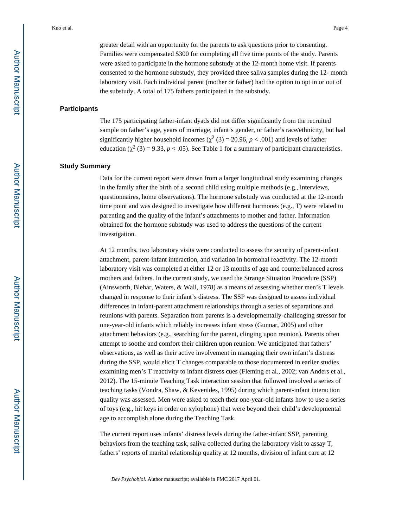greater detail with an opportunity for the parents to ask questions prior to consenting. Families were compensated \$300 for completing all five time points of the study. Parents were asked to participate in the hormone substudy at the 12-month home visit. If parents consented to the hormone substudy, they provided three saliva samples during the 12- month laboratory visit. Each individual parent (mother or father) had the option to opt in or out of the substudy. A total of 175 fathers participated in the substudy.

#### **Participants**

The 175 participating father-infant dyads did not differ significantly from the recruited sample on father's age, years of marriage, infant's gender, or father's race/ethnicity, but had significantly higher household incomes ( $\chi^2$  (3) = 20.96, *p* < .001) and levels of father education  $(\chi^2(3) = 9.33, p < .05)$ . See Table 1 for a summary of participant characteristics.

#### **Study Summary**

Data for the current report were drawn from a larger longitudinal study examining changes in the family after the birth of a second child using multiple methods (e.g., interviews, questionnaires, home observations). The hormone substudy was conducted at the 12-month time point and was designed to investigate how different hormones (e.g.,  $T$ ) were related to parenting and the quality of the infant's attachments to mother and father. Information obtained for the hormone substudy was used to address the questions of the current investigation.

At 12 months, two laboratory visits were conducted to assess the security of parent-infant attachment, parent-infant interaction, and variation in hormonal reactivity. The 12-month laboratory visit was completed at either 12 or 13 months of age and counterbalanced across mothers and fathers. In the current study, we used the Strange Situation Procedure (SSP) (Ainsworth, Blehar, Waters, & Wall, 1978) as a means of assessing whether men's T levels changed in response to their infant's distress. The SSP was designed to assess individual differences in infant-parent attachment relationships through a series of separations and reunions with parents. Separation from parents is a developmentally-challenging stressor for one-year-old infants which reliably increases infant stress (Gunnar, 2005) and other attachment behaviors (e.g., searching for the parent, clinging upon reunion). Parents often attempt to soothe and comfort their children upon reunion. We anticipated that fathers' observations, as well as their active involvement in managing their own infant's distress during the SSP, would elicit T changes comparable to those documented in earlier studies examining men's T reactivity to infant distress cues (Fleming et al., 2002; van Anders et al., 2012). The 15-minute Teaching Task interaction session that followed involved a series of teaching tasks (Vondra, Shaw, & Kevenides, 1995) during which parent-infant interaction quality was assessed. Men were asked to teach their one-year-old infants how to use a series of toys (e.g., hit keys in order on xylophone) that were beyond their child's developmental age to accomplish alone during the Teaching Task.

The current report uses infants' distress levels during the father-infant SSP, parenting behaviors from the teaching task, saliva collected during the laboratory visit to assay T, fathers' reports of marital relationship quality at 12 months, division of infant care at 12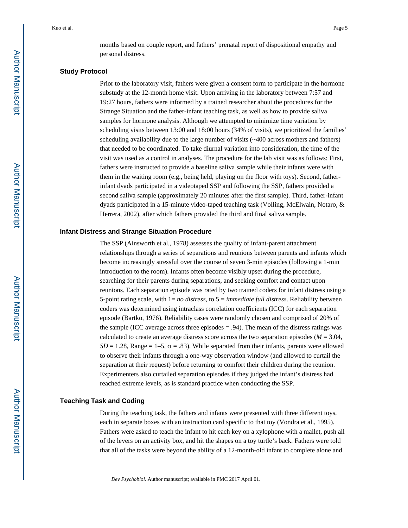months based on couple report, and fathers' prenatal report of dispositional empathy and personal distress.

#### **Study Protocol**

Prior to the laboratory visit, fathers were given a consent form to participate in the hormone substudy at the 12-month home visit. Upon arriving in the laboratory between 7:57 and 19:27 hours, fathers were informed by a trained researcher about the procedures for the Strange Situation and the father-infant teaching task, as well as how to provide saliva samples for hormone analysis. Although we attempted to minimize time variation by scheduling visits between 13:00 and 18:00 hours (34% of visits), we prioritized the families' scheduling availability due to the large number of visits  $\left(\sim 400\right)$  across mothers and fathers) that needed to be coordinated. To take diurnal variation into consideration, the time of the visit was used as a control in analyses. The procedure for the lab visit was as follows: First, fathers were instructed to provide a baseline saliva sample while their infants were with them in the waiting room (e.g., being held, playing on the floor with toys). Second, fatherinfant dyads participated in a videotaped SSP and following the SSP, fathers provided a second saliva sample (approximately 20 minutes after the first sample). Third, father-infant dyads participated in a 15-minute video-taped teaching task (Volling, McElwain, Notaro, & Herrera, 2002), after which fathers provided the third and final saliva sample.

#### **Infant Distress and Strange Situation Procedure**

The SSP (Ainsworth et al., 1978) assesses the quality of infant-parent attachment relationships through a series of separations and reunions between parents and infants which become increasingly stressful over the course of seven 3-min episodes (following a 1-min introduction to the room). Infants often become visibly upset during the procedure, searching for their parents during separations, and seeking comfort and contact upon reunions. Each separation episode was rated by two trained coders for infant distress using a 5-point rating scale, with 1= *no distress*, to 5 = *immediate full distress*. Reliability between coders was determined using intraclass correlation coefficients (ICC) for each separation episode (Bartko, 1976). Reliability cases were randomly chosen and comprised of 20% of the sample (ICC average across three episodes  $= .94$ ). The mean of the distress ratings was calculated to create an average distress score across the two separation episodes ( $M = 3.04$ ,  $SD = 1.28$ , Range = 1–5,  $\alpha = .83$ ). While separated from their infants, parents were allowed to observe their infants through a one-way observation window (and allowed to curtail the separation at their request) before returning to comfort their children during the reunion. Experimenters also curtailed separation episodes if they judged the infant's distress had reached extreme levels, as is standard practice when conducting the SSP.

#### **Teaching Task and Coding**

During the teaching task, the fathers and infants were presented with three different toys, each in separate boxes with an instruction card specific to that toy (Vondra et al., 1995). Fathers were asked to teach the infant to hit each key on a xylophone with a mallet, push all of the levers on an activity box, and hit the shapes on a toy turtle's back. Fathers were told that all of the tasks were beyond the ability of a 12-month-old infant to complete alone and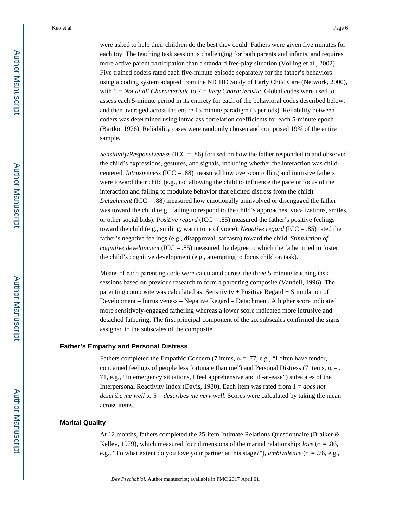were asked to help their children do the best they could. Fathers were given five minutes for each toy. The teaching task session is challenging for both parents and infants, and requires more active parent participation than a standard free-play situation (Volling et al., 2002). Five trained coders rated each five-minute episode separately for the father's behaviors using a coding system adapted from the NICHD Study of Early Child Care (Network, 2000), with 1 = *Not at all Characteristic* to 7 = *Very Characteristic*. Global codes were used to assess each 5-minute period in its entirety for each of the behavioral codes described below, and then averaged across the entire 15 minute paradigm (3 periods). Reliability between coders was determined using intraclass correlation coefficients for each 5-minute epoch (Bartko, 1976). Reliability cases were randomly chosen and comprised 19% of the entire sample.

*Sensitivity/Responsiveness* (ICC = .86) focused on how the father responded to and observed the child's expressions, gestures, and signals, including whether the interaction was childcentered. *Intrusiveness* (ICC = .88) measured how over-controlling and intrusive fathers were toward their child (e.g., not allowing the child to influence the pace or focus of the interaction and failing to modulate behavior that elicited distress from the child). *Detachment* (ICC = .88) measured how emotionally uninvolved or disengaged the father was toward the child (e.g., failing to respond to the child's approaches, vocalizations, smiles, or other social bids). *Positive regard* (ICC = .85) measured the father's positive feelings toward the child (e.g., smiling, warm tone of voice). *Negative regard* (ICC = .85) rated the father's negative feelings (e.g., disapproval, sarcasm) toward the child. *Stimulation of cognitive development* (ICC = .85) measured the degree to which the father tried to foster the child's cognitive development (e.g., attempting to focus child on task).

Means of each parenting code were calculated across the three 5-minute teaching task sessions based on previous research to form a parenting composite (Vandell, 1996). The parenting composite was calculated as: Sensitivity + Positive Regard + Stimulation of Development – Intrusiveness – Negative Regard – Detachment. A higher score indicated more sensitively-engaged fathering whereas a lower score indicated more intrusive and detached fathering. The first principal component of the six subscales confirmed the signs assigned to the subscales of the composite.

#### **Father's Empathy and Personal Distress**

Fathers completed the Empathic Concern (7 items,  $\alpha = .77$ , e.g., "I often have tender, concerned feelings of people less fortunate than me") and Personal Distress (7 items,  $\alpha =$ . 71, e.g., "In emergency situations, I feel apprehensive and ill-at-ease") subscales of the Interpersonal Reactivity Index (Davis, 1980). Each item was rated from 1 = *does not describe me well* to 5 = *describes me very well*. Scores were calculated by taking the mean across items.

#### **Marital Quality**

At 12 months, fathers completed the 25-item Intimate Relations Questionnaire (Braiker & Kelley, 1979), which measured four dimensions of the marital relationship: *love* ( $\alpha$  = .86, e.g., "To what extent do you love your partner at this stage?"), *ambivalence* ( $\alpha = .76$ , e.g.,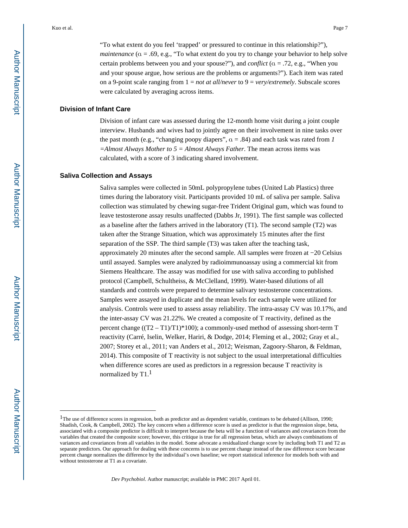"To what extent do you feel 'trapped' or pressured to continue in this relationship?"), *maintenance* ( $\alpha = .69$ , e.g., "To what extent do you try to change your behavior to help solve certain problems between you and your spouse?"), and *conflict* (α = .72, e.g., "When you and your spouse argue, how serious are the problems or arguments?"). Each item was rated on a 9-point scale ranging from 1 = *not at all/never* to 9 = *very/extremely*. Subscale scores were calculated by averaging across items.

#### **Division of Infant Care**

Division of infant care was assessed during the 12-month home visit during a joint couple interview. Husbands and wives had to jointly agree on their involvement in nine tasks over the past month (e.g., "changing poopy diapers",  $\alpha = .84$ ) and each task was rated from *1 =Almost Always Mother to 5 = Almost Always Father*. The mean across items was calculated, with a score of 3 indicating shared involvement.

#### **Saliva Collection and Assays**

Saliva samples were collected in 50mL polypropylene tubes (United Lab Plastics) three times during the laboratory visit. Participants provided 10 mL of saliva per sample. Saliva collection was stimulated by chewing sugar-free Trident Original gum, which was found to leave testosterone assay results unaffected (Dabbs Jr, 1991). The first sample was collected as a baseline after the fathers arrived in the laboratory (T1). The second sample (T2) was taken after the Strange Situation, which was approximately 15 minutes after the first separation of the SSP. The third sample (T3) was taken after the teaching task, approximately 20 minutes after the second sample. All samples were frozen at −20 Celsius until assayed. Samples were analyzed by radioimmunoassay using a commercial kit from Siemens Healthcare. The assay was modified for use with saliva according to published protocol (Campbell, Schultheiss, & McClelland, 1999). Water-based dilutions of all standards and controls were prepared to determine salivary testosterone concentrations. Samples were assayed in duplicate and the mean levels for each sample were utilized for analysis. Controls were used to assess assay reliability. The intra-assay CV was 10.17%, and the inter-assay CV was 21.22%. We created a composite of T reactivity, defined as the percent change  $((T2 - T1)/T1)^*100$ ; a commonly-used method of assessing short-term T reactivity (Carré, Iselin, Welker, Hariri, & Dodge, 2014; Fleming et al., 2002; Gray et al., 2007; Storey et al., 2011; van Anders et al., 2012; Weisman, Zagoory-Sharon, & Feldman, 2014). This composite of T reactivity is not subject to the usual interpretational difficulties when difference scores are used as predictors in a regression because T reactivity is normalized by T1.<sup>1</sup>

<sup>&</sup>lt;sup>1</sup>The use of difference scores in regression, both as predictor and as dependent variable, continues to be debated (Allison, 1990; Shadish, Cook, & Campbell, 2002). The key concern when a difference score is used as predictor is that the regression slope, beta, associated with a composite predictor is difficult to interpret because the beta will be a function of variances and covariances from the variables that created the composite score; however, this critique is true for all regression betas, which are always combinations of variances and covariances from all variables in the model. Some advocate a residualized change score by including both T1 and T2 as separate predictors. Our approach for dealing with these concerns is to use percent change instead of the raw difference score because percent change normalizes the difference by the individual's own baseline; we report statistical inference for models both with and without testosterone at T1 as a covariate.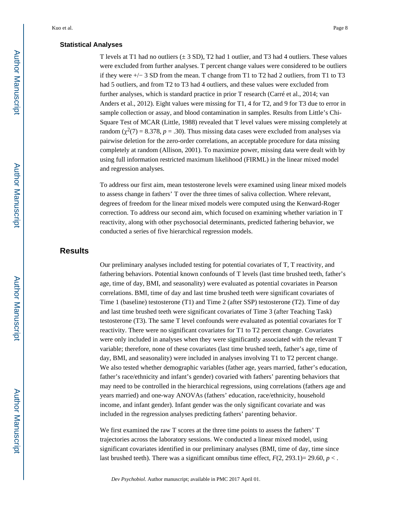#### **Statistical Analyses**

T levels at T1 had no outliers  $(\pm 3 \text{ SD})$ , T2 had 1 outlier, and T3 had 4 outliers. These values were excluded from further analyses. T percent change values were considered to be outliers if they were +/− 3 SD from the mean. T change from T1 to T2 had 2 outliers, from T1 to T3 had 5 outliers, and from T2 to T3 had 4 outliers, and these values were excluded from further analyses, which is standard practice in prior T research (Carré et al., 2014; van Anders et al., 2012). Eight values were missing for T1, 4 for T2, and 9 for T3 due to error in sample collection or assay, and blood contamination in samples. Results from Little's Chi-Square Test of MCAR (Little, 1988) revealed that T level values were missing completely at random  $(\chi^2(7) = 8.378, p = .30)$ . Thus missing data cases were excluded from analyses via pairwise deletion for the zero-order correlations, an acceptable procedure for data missing completely at random (Allison, 2001). To maximize power, missing data were dealt with by using full information restricted maximum likelihood (FIRML) in the linear mixed model and regression analyses.

To address our first aim, mean testosterone levels were examined using linear mixed models to assess change in fathers' T over the three times of saliva collection. Where relevant, degrees of freedom for the linear mixed models were computed using the Kenward-Roger correction. To address our second aim, which focused on examining whether variation in T reactivity, along with other psychosocial determinants, predicted fathering behavior, we conducted a series of five hierarchical regression models.

## **Results**

Our preliminary analyses included testing for potential covariates of T, T reactivity, and fathering behaviors. Potential known confounds of T levels (last time brushed teeth, father's age, time of day, BMI, and seasonality) were evaluated as potential covariates in Pearson correlations. BMI, time of day and last time brushed teeth were significant covariates of Time 1 (baseline) testosterone (T1) and Time 2 (after SSP) testosterone (T2). Time of day and last time brushed teeth were significant covariates of Time 3 (after Teaching Task) testosterone (T3). The same T level confounds were evaluated as potential covariates for T reactivity. There were no significant covariates for T1 to T2 percent change. Covariates were only included in analyses when they were significantly associated with the relevant T variable; therefore, none of these covariates (last time brushed teeth, father's age, time of day, BMI, and seasonality) were included in analyses involving T1 to T2 percent change. We also tested whether demographic variables (father age, years married, father's education, father's race/ethnicity and infant's gender) covaried with fathers' parenting behaviors that may need to be controlled in the hierarchical regressions, using correlations (fathers age and years married) and one-way ANOVAs (fathers' education, race/ethnicity, household income, and infant gender). Infant gender was the only significant covariate and was included in the regression analyses predicting fathers' parenting behavior.

We first examined the raw T scores at the three time points to assess the fathers' T trajectories across the laboratory sessions. We conducted a linear mixed model, using significant covariates identified in our preliminary analyses (BMI, time of day, time since last brushed teeth). There was a significant omnibus time effect,  $F(2, 293.1) = 29.60$ ,  $p <$ .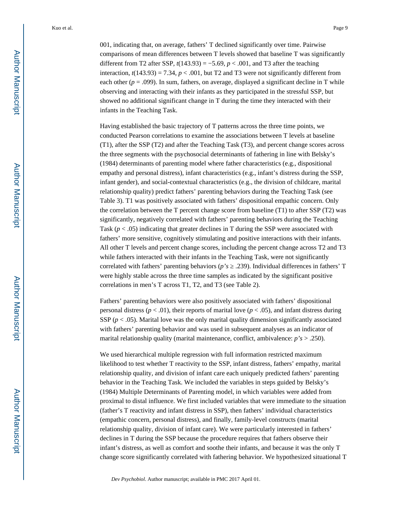001, indicating that, on average, fathers' T declined significantly over time. Pairwise comparisons of mean differences between T levels showed that baseline T was significantly different from T2 after SSP,  $t(143.93) = -5.69$ ,  $p < .001$ , and T3 after the teaching interaction,  $t(143.93) = 7.34$ ,  $p < .001$ , but T2 and T3 were not significantly different from each other ( $p = .099$ ). In sum, fathers, on average, displayed a significant decline in T while observing and interacting with their infants as they participated in the stressful SSP, but showed no additional significant change in T during the time they interacted with their infants in the Teaching Task.

Having established the basic trajectory of T patterns across the three time points, we conducted Pearson correlations to examine the associations between T levels at baseline (T1), after the SSP (T2) and after the Teaching Task (T3), and percent change scores across the three segments with the psychosocial determinants of fathering in line with Belsky's (1984) determinants of parenting model where father characteristics (e.g., dispositional empathy and personal distress), infant characteristics (e.g., infant's distress during the SSP, infant gender), and social-contextual characteristics (e.g., the division of childcare, marital relationship quality) predict fathers' parenting behaviors during the Teaching Task (see Table 3). T1 was positively associated with fathers' dispositional empathic concern. Only the correlation between the T percent change score from baseline (T1) to after SSP (T2) was significantly, negatively correlated with fathers' parenting behaviors during the Teaching Task  $(p < .05)$  indicating that greater declines in T during the SSP were associated with fathers' more sensitive, cognitively stimulating and positive interactions with their infants. All other T levels and percent change scores, including the percent change across T2 and T3 while fathers interacted with their infants in the Teaching Task, were not significantly correlated with fathers' parenting behaviors (*p*'s .239). Individual differences in fathers' T were highly stable across the three time samples as indicated by the significant positive correlations in men's T across T1, T2, and T3 (see Table 2).

Fathers' parenting behaviors were also positively associated with fathers' dispositional personal distress ( $p < .01$ ), their reports of marital love ( $p < .05$ ), and infant distress during SSP  $(p < .05)$ . Marital love was the only marital quality dimension significantly associated with fathers' parenting behavior and was used in subsequent analyses as an indicator of marital relationship quality (marital maintenance, conflict, ambivalence: *p's* > .250).

We used hierarchical multiple regression with full information restricted maximum likelihood to test whether T reactivity to the SSP, infant distress, fathers' empathy, marital relationship quality, and division of infant care each uniquely predicted fathers' parenting behavior in the Teaching Task. We included the variables in steps guided by Belsky's (1984) Multiple Determinants of Parenting model, in which variables were added from proximal to distal influence. We first included variables that were immediate to the situation (father's T reactivity and infant distress in SSP), then fathers' individual characteristics (empathic concern, personal distress), and finally, family-level constructs (marital relationship quality, division of infant care). We were particularly interested in fathers' declines in T during the SSP because the procedure requires that fathers observe their infant's distress, as well as comfort and soothe their infants, and because it was the only T change score significantly correlated with fathering behavior. We hypothesized situational T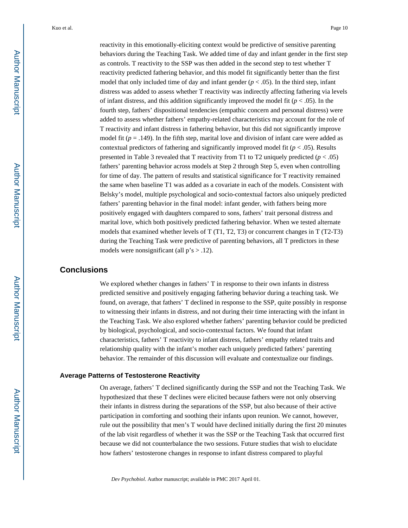reactivity in this emotionally-eliciting context would be predictive of sensitive parenting behaviors during the Teaching Task. We added time of day and infant gender in the first step as controls. T reactivity to the SSP was then added in the second step to test whether T reactivity predicted fathering behavior, and this model fit significantly better than the first model that only included time of day and infant gender  $(p < .05)$ . In the third step, infant distress was added to assess whether T reactivity was indirectly affecting fathering via levels of infant distress, and this addition significantly improved the model fit  $(p < .05)$ . In the fourth step, fathers' dispositional tendencies (empathic concern and personal distress) were added to assess whether fathers' empathy-related characteristics may account for the role of T reactivity and infant distress in fathering behavior, but this did not significantly improve model fit  $(p = .149)$ . In the fifth step, marital love and division of infant care were added as contextual predictors of fathering and significantly improved model fit  $(p < .05)$ . Results presented in Table 3 revealed that T reactivity from T1 to T2 uniquely predicted  $(p < .05)$ fathers' parenting behavior across models at Step 2 through Step 5, even when controlling for time of day. The pattern of results and statistical significance for T reactivity remained the same when baseline T1 was added as a covariate in each of the models. Consistent with Belsky's model, multiple psychological and socio-contextual factors also uniquely predicted fathers' parenting behavior in the final model: infant gender, with fathers being more positively engaged with daughters compared to sons, fathers' trait personal distress and marital love, which both positively predicted fathering behavior. When we tested alternate models that examined whether levels of T (T1, T2, T3) or concurrent changes in T (T2-T3) during the Teaching Task were predictive of parenting behaviors, all T predictors in these models were nonsignificant (all  $p's > .12$ ).

#### **Conclusions**

We explored whether changes in fathers' T in response to their own infants in distress predicted sensitive and positively engaging fathering behavior during a teaching task. We found, on average, that fathers' T declined in response to the SSP, quite possibly in response to witnessing their infants in distress, and not during their time interacting with the infant in the Teaching Task. We also explored whether fathers' parenting behavior could be predicted by biological, psychological, and socio-contextual factors. We found that infant characteristics, fathers' T reactivity to infant distress, fathers' empathy related traits and relationship quality with the infant's mother each uniquely predicted fathers' parenting behavior. The remainder of this discussion will evaluate and contextualize our findings.

#### **Average Patterns of Testosterone Reactivity**

On average, fathers' T declined significantly during the SSP and not the Teaching Task. We hypothesized that these T declines were elicited because fathers were not only observing their infants in distress during the separations of the SSP, but also because of their active participation in comforting and soothing their infants upon reunion. We cannot, however, rule out the possibility that men's T would have declined initially during the first 20 minutes of the lab visit regardless of whether it was the SSP or the Teaching Task that occurred first because we did not counterbalance the two sessions. Future studies that wish to elucidate how fathers' testosterone changes in response to infant distress compared to playful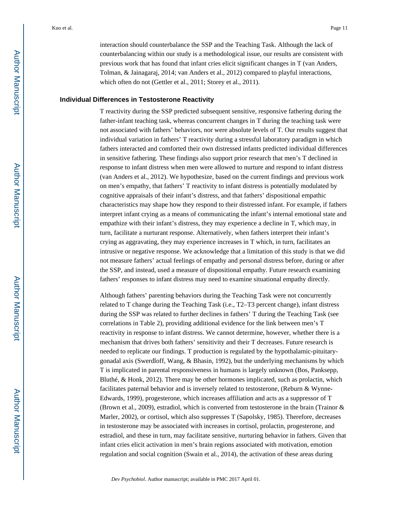interaction should counterbalance the SSP and the Teaching Task. Although the lack of counterbalancing within our study is a methodological issue, our results are consistent with previous work that has found that infant cries elicit significant changes in T (van Anders, Tolman, & Jainagaraj, 2014; van Anders et al., 2012) compared to playful interactions, which often do not (Gettler et al., 2011; Storey et al., 2011).

#### **Individual Differences in Testosterone Reactivity**

T reactivity during the SSP predicted subsequent sensitive, responsive fathering during the father-infant teaching task, whereas concurrent changes in T during the teaching task were not associated with fathers' behaviors, nor were absolute levels of T. Our results suggest that individual variation in fathers' T reactivity during a stressful laboratory paradigm in which fathers interacted and comforted their own distressed infants predicted individual differences in sensitive fathering. These findings also support prior research that men's T declined in response to infant distress when men were allowed to nurture and respond to infant distress (van Anders et al., 2012). We hypothesize, based on the current findings and previous work on men's empathy, that fathers' T reactivity to infant distress is potentially modulated by cognitive appraisals of their infant's distress, and that fathers' dispositional empathic characteristics may shape how they respond to their distressed infant. For example, if fathers interpret infant crying as a means of communicating the infant's internal emotional state and empathize with their infant's distress, they may experience a decline in T, which may, in turn, facilitate a nurturant response. Alternatively, when fathers interpret their infant's crying as aggravating, they may experience increases in T which, in turn, facilitates an intrusive or negative response. We acknowledge that a limitation of this study is that we did not measure fathers' actual feelings of empathy and personal distress before, during or after the SSP, and instead, used a measure of dispositional empathy. Future research examining fathers' responses to infant distress may need to examine situational empathy directly.

Although fathers' parenting behaviors during the Teaching Task were not concurrently related to T change during the Teaching Task (i.e., T2–T3 percent change), infant distress during the SSP was related to further declines in fathers' T during the Teaching Task (see correlations in Table 2), providing additional evidence for the link between men's T reactivity in response to infant distress. We cannot determine, however, whether there is a mechanism that drives both fathers' sensitivity and their T decreases. Future research is needed to replicate our findings. T production is regulated by the hypothalamic-pituitarygonadal axis (Swerdloff, Wang, & Bhasin, 1992), but the underlying mechanisms by which T is implicated in parental responsiveness in humans is largely unknown (Bos, Panksepp, Bluthé, & Honk, 2012). There may be other hormones implicated, such as prolactin, which facilitates paternal behavior and is inversely related to testosterone, (Reburn & Wynne-Edwards, 1999), progesterone, which increases affiliation and acts as a suppressor of T (Brown et al., 2009), estradiol, which is converted from testosterone in the brain (Trainor & Marler, 2002), or cortisol, which also suppresses T (Sapolsky, 1985). Therefore, decreases in testosterone may be associated with increases in cortisol, prolactin, progesterone, and estradiol, and these in turn, may facilitate sensitive, nurturing behavior in fathers. Given that infant cries elicit activation in men's brain regions associated with motivation, emotion regulation and social cognition (Swain et al., 2014), the activation of these areas during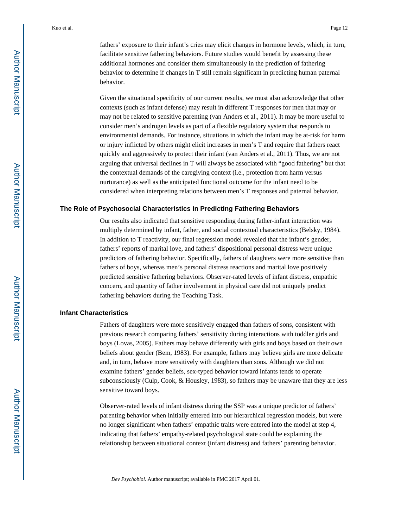fathers' exposure to their infant's cries may elicit changes in hormone levels, which, in turn, facilitate sensitive fathering behaviors. Future studies would benefit by assessing these additional hormones and consider them simultaneously in the prediction of fathering behavior to determine if changes in T still remain significant in predicting human paternal behavior.

Given the situational specificity of our current results, we must also acknowledge that other contexts (such as infant defense) may result in different T responses for men that may or may not be related to sensitive parenting (van Anders et al., 2011). It may be more useful to consider men's androgen levels as part of a flexible regulatory system that responds to environmental demands. For instance, situations in which the infant may be at-risk for harm or injury inflicted by others might elicit increases in men's T and require that fathers react quickly and aggressively to protect their infant (van Anders et al., 2011). Thus, we are not arguing that universal declines in T will always be associated with "good fathering" but that the contextual demands of the caregiving context (i.e., protection from harm versus nurturance) as well as the anticipated functional outcome for the infant need to be considered when interpreting relations between men's T responses and paternal behavior.

#### **The Role of Psychosocial Characteristics in Predicting Fathering Behaviors**

Our results also indicated that sensitive responding during father-infant interaction was multiply determined by infant, father, and social contextual characteristics (Belsky, 1984). In addition to T reactivity, our final regression model revealed that the infant's gender, fathers' reports of marital love, and fathers' dispositional personal distress were unique predictors of fathering behavior. Specifically, fathers of daughters were more sensitive than fathers of boys, whereas men's personal distress reactions and marital love positively predicted sensitive fathering behaviors. Observer-rated levels of infant distress, empathic concern, and quantity of father involvement in physical care did not uniquely predict fathering behaviors during the Teaching Task.

#### **Infant Characteristics**

Fathers of daughters were more sensitively engaged than fathers of sons, consistent with previous research comparing fathers' sensitivity during interactions with toddler girls and boys (Lovas, 2005). Fathers may behave differently with girls and boys based on their own beliefs about gender (Bem, 1983). For example, fathers may believe girls are more delicate and, in turn, behave more sensitively with daughters than sons. Although we did not examine fathers' gender beliefs, sex-typed behavior toward infants tends to operate subconsciously (Culp, Cook, & Housley, 1983), so fathers may be unaware that they are less sensitive toward boys.

Observer-rated levels of infant distress during the SSP was a unique predictor of fathers' parenting behavior when initially entered into our hierarchical regression models, but were no longer significant when fathers' empathic traits were entered into the model at step 4, indicating that fathers' empathy-related psychological state could be explaining the relationship between situational context (infant distress) and fathers' parenting behavior.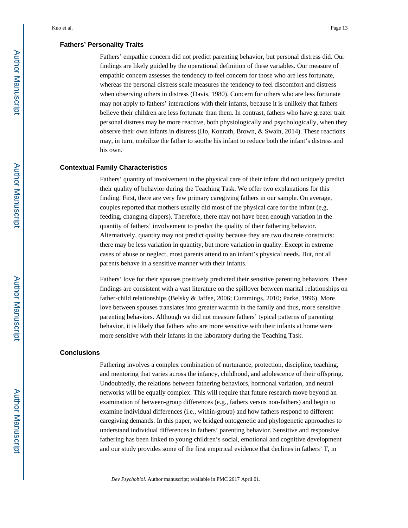#### **Fathers' Personality Traits**

Fathers' empathic concern did not predict parenting behavior, but personal distress did. Our findings are likely guided by the operational definition of these variables. Our measure of empathic concern assesses the tendency to feel concern for those who are less fortunate, whereas the personal distress scale measures the tendency to feel discomfort and distress when observing others in distress (Davis, 1980). Concern for others who are less fortunate may not apply to fathers' interactions with their infants, because it is unlikely that fathers believe their children are less fortunate than them. In contrast, fathers who have greater trait personal distress may be more reactive, both physiologically and psychologically, when they observe their own infants in distress (Ho, Konrath, Brown, & Swain, 2014). These reactions may, in turn, mobilize the father to soothe his infant to reduce both the infant's distress and his own.

#### **Contextual Family Characteristics**

Fathers' quantity of involvement in the physical care of their infant did not uniquely predict their quality of behavior during the Teaching Task. We offer two explanations for this finding. First, there are very few primary caregiving fathers in our sample. On average, couples reported that mothers usually did most of the physical care for the infant (e,g, feeding, changing diapers). Therefore, there may not have been enough variation in the quantity of fathers' involvement to predict the quality of their fathering behavior. Alternatively, quantity may not predict quality because they are two discrete constructs: there may be less variation in quantity, but more variation in quality. Except in extreme cases of abuse or neglect, most parents attend to an infant's physical needs. But, not all parents behave in a sensitive manner with their infants.

Fathers' love for their spouses positively predicted their sensitive parenting behaviors. These findings are consistent with a vast literature on the spillover between marital relationships on father-child relationships (Belsky & Jaffee, 2006; Cummings, 2010; Parke, 1996). More love between spouses translates into greater warmth in the family and thus, more sensitive parenting behaviors. Although we did not measure fathers' typical patterns of parenting behavior, it is likely that fathers who are more sensitive with their infants at home were more sensitive with their infants in the laboratory during the Teaching Task.

#### **Conclusions**

Fathering involves a complex combination of nurturance, protection, discipline, teaching, and mentoring that varies across the infancy, childhood, and adolescence of their offspring. Undoubtedly, the relations between fathering behaviors, hormonal variation, and neural networks will be equally complex. This will require that future research move beyond an examination of between-group differences (e.g., fathers versus non-fathers) and begin to examine individual differences (i.e., within-group) and how fathers respond to different caregiving demands. In this paper, we bridged ontogenetic and phylogenetic approaches to understand individual differences in fathers' parenting behavior. Sensitive and responsive fathering has been linked to young children's social, emotional and cognitive development and our study provides some of the first empirical evidence that declines in fathers' T, in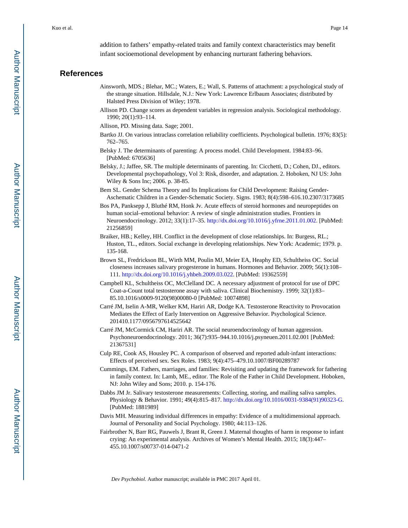addition to fathers' empathy-related traits and family context characteristics may benefit infant socioemotional development by enhancing nurturant fathering behaviors.

### **References**

- Ainsworth, MDS.; Blehar, MC.; Waters, E.; Wall, S. Patterns of attachment: a psychological study of the strange situation. Hillsdale, N.J.: New York: Lawrence Erlbaum Associates; distributed by Halsted Press Division of Wiley; 1978.
- Allison PD. Change scores as dependent variables in regression analysis. Sociological methodology. 1990; 20(1):93–114.
- Allison, PD. Missing data. Sage; 2001.
- Bartko JJ. On various intraclass correlation reliability coefficients. Psychological bulletin. 1976; 83(5): 762–765.
- Belsky J. The determinants of parenting: A process model. Child Development. 1984:83–96. [PubMed: 6705636]
- Belsky, J.; Jaffee, SR. The multiple determinants of parenting. In: Cicchetti, D.; Cohen, DJ., editors. Developmental psychopathology, Vol 3: Risk, disorder, and adaptation. 2. Hoboken, NJ US: John Wiley & Sons Inc; 2006. p. 38-85.
- Bem SL. Gender Schema Theory and Its Implications for Child Development: Raising Gender-Aschematic Children in a Gender-Schematic Society. Signs. 1983; 8(4):598–616.10.2307/3173685
- Bos PA, Panksepp J, Bluthé RM, Honk Jv. Acute effects of steroid hormones and neuropeptides on human social–emotional behavior: A review of single administration studies. Frontiers in Neuroendocrinology. 2012; 33(1):17–35. <http://dx.doi.org/10.1016/j.yfrne.2011.01.002>. [PubMed: 21256859]
- Braiker, HB.; Kelley, HH. Conflict in the development of close relationships. In: Burgess, RL.; Huston, TL., editors. Social exchange in developing relationships. New York: Academic; 1979. p. 135-168.
- Brown SL, Fredrickson BL, Wirth MM, Poulin MJ, Meier EA, Heaphy ED, Schultheiss OC. Social closeness increases salivary progesterone in humans. Hormones and Behavior. 2009; 56(1):108– 111. [http://dx.doi.org/10.1016/j.yhbeh.2009.03.022.](http://dx.doi.org/10.1016/j.yhbeh.2009.03.022) [PubMed: 19362559]
- Campbell KL, Schultheiss OC, McClelland DC. A necessary adjustment of protocol for use of DPC Coat-a-Count total testosterone assay with saliva. Clinical Biochemistry. 1999; 32(1):83– 85.10.1016/s0009-9120(98)00080-0 [PubMed: 10074898]
- Carré JM, Iselin A-MR, Welker KM, Hariri AR, Dodge KA. Testosterone Reactivity to Provocation Mediates the Effect of Early Intervention on Aggressive Behavior. Psychological Science. 201410.1177/0956797614525642
- Carré JM, McCormick CM, Hariri AR. The social neuroendocrinology of human aggression. Psychoneuroendocrinology. 2011; 36(7):935–944.10.1016/j.psyneuen.2011.02.001 [PubMed: 21367531]
- Culp RE, Cook AS, Housley PC. A comparison of observed and reported adult-infant interactions: Effects of perceived sex. Sex Roles. 1983; 9(4):475–479.10.1007/BF00289787
- Cummings, EM. Fathers, marriages, and families: Revisiting and updating the framework for fathering in family context. In: Lamb, ME., editor. The Role of the Father in Child Development. Hoboken, NJ: John Wiley and Sons; 2010. p. 154-176.
- Dabbs JM Jr. Salivary testosterone measurements: Collecting, storing, and mailing saliva samples. Physiology & Behavior. 1991; 49(4):815–817. [http://dx.doi.org/10.1016/0031-9384\(91\)90323-G.](http://dx.doi.org/10.1016/0031-9384(91)90323-G) [PubMed: 1881989]
- Davis MH. Measuring individual differences in empathy: Evidence of a multidimensional approach. Journal of Personality and Social Psychology. 1980; 44:113–126.
- Fairbrother N, Barr RG, Pauwels J, Brant R, Green J. Maternal thoughts of harm in response to infant crying: An experimental analysis. Archives of Women's Mental Health. 2015; 18(3):447– 455.10.1007/s00737-014-0471-2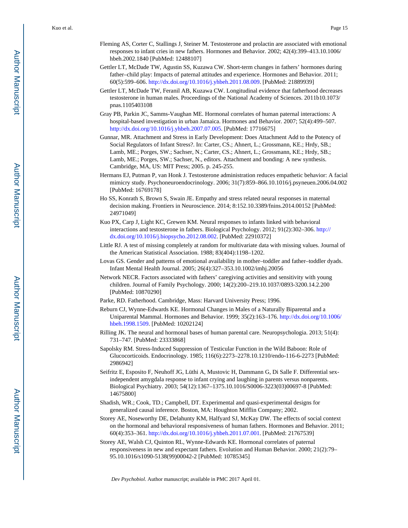- Fleming AS, Corter C, Stallings J, Steiner M. Testosterone and prolactin are associated with emotional responses to infant cries in new fathers. Hormones and Behavior. 2002; 42(4):399–413.10.1006/ hbeh.2002.1840 [PubMed: 12488107]
- Gettler LT, McDade TW, Agustin SS, Kuzawa CW. Short-term changes in fathers' hormones during father–child play: Impacts of paternal attitudes and experience. Hormones and Behavior. 2011; 60(5):599–606. [http://dx.doi.org/10.1016/j.yhbeh.2011.08.009.](http://dx.doi.org/10.1016/j.yhbeh.2011.08.009) [PubMed: 21889939]
- Gettler LT, McDade TW, Feranil AB, Kuzawa CW. Longitudinal evidence that fatherhood decreases testosterone in human males. Proceedings of the National Academy of Sciences. 2011b10.1073/ pnas.1105403108
- Gray PB, Parkin JC, Samms-Vaughan ME. Hormonal correlates of human paternal interactions: A hospital-based investigation in urban Jamaica. Hormones and Behavior. 2007; 52(4):499–507. [http://dx.doi.org/10.1016/j.yhbeh.2007.07.005.](http://dx.doi.org/10.1016/j.yhbeh.2007.07.005) [PubMed: 17716675]
- Gunnar, MR. Attachment and Stress in Early Development: Does Attachment Add to the Potency of Social Regulators of Infant Stress?. In: Carter, CS.; Ahnert, L.; Grossmann, KE.; Hrdy, SB.; Lamb, ME.; Porges, SW.; Sachser, N.; Carter, CS.; Ahnert, L.; Grossmann, KE.; Hrdy, SB.; Lamb, ME.; Porges, SW.; Sachser, N., editors. Attachment and bonding: A new synthesis. Cambridge, MA, US: MIT Press; 2005. p. 245-255.
- Hermans EJ, Putman P, van Honk J. Testosterone administration reduces empathetic behavior: A facial mimicry study. Psychoneuroendocrinology. 2006; 31(7):859–866.10.1016/j.psyneuen.2006.04.002 [PubMed: 16769178]
- Ho SS, Konrath S, Brown S, Swain JE. Empathy and stress related neural responses in maternal decision making. Frontiers in Neuroscience. 2014; 8:152.10.3389/fnins.2014.00152 [PubMed: 24971049]
- Kuo PX, Carp J, Light KC, Grewen KM. Neural responses to infants linked with behavioral interactions and testosterone in fathers. Biological Psychology. 2012; 91(2):302–306. [http://](http://dx.doi.org/10.1016/j.biopsycho.2012.08.002) [dx.doi.org/10.1016/j.biopsycho.2012.08.002](http://dx.doi.org/10.1016/j.biopsycho.2012.08.002). [PubMed: 22910372]
- Little RJ. A test of missing completely at random for multivariate data with missing values. Journal of the American Statistical Association. 1988; 83(404):1198–1202.
- Lovas GS. Gender and patterns of emotional availability in mother–toddler and father–toddler dyads. Infant Mental Health Journal. 2005; 26(4):327–353.10.1002/imhj.20056
- Network NECR. Factors associated with fathers' caregiving activities and sensitivity with young children. Journal of Family Psychology. 2000; 14(2):200–219.10.1037/0893-3200.14.2.200 [PubMed: 10870290]
- Parke, RD. Fatherhood. Cambridge, Mass: Harvard University Press; 1996.
- Reburn CJ, Wynne-Edwards KE. Hormonal Changes in Males of a Naturally Biparental and a Uniparental Mammal. Hormones and Behavior. 1999; 35(2):163–176. [http://dx.doi.org/10.1006/](http://dx.doi.org/10.1006/hbeh.1998.1509) [hbeh.1998.1509.](http://dx.doi.org/10.1006/hbeh.1998.1509) [PubMed: 10202124]
- Rilling JK. The neural and hormonal bases of human parental care. Neuropsychologia. 2013; 51(4): 731–747. [PubMed: 23333868]
- Sapolsky RM. Stress-Induced Suppression of Testicular Function in the Wild Baboon: Role of Glucocorticoids. Endocrinology. 1985; 116(6):2273–2278.10.1210/endo-116-6-2273 [PubMed: 2986942]
- Seifritz E, Esposito F, Neuhoff JG, Lüthi A, Mustovic H, Dammann G, Di Salle F. Differential sexindependent amygdala response to infant crying and laughing in parents versus nonparents. Biological Psychiatry. 2003; 54(12):1367–1375.10.1016/S0006-3223(03)00697-8 [PubMed: 14675800]
- Shadish, WR.; Cook, TD.; Campbell, DT. Experimental and quasi-experimental designs for generalized causal inference. Boston, MA: Houghton Mifflin Company; 2002.
- Storey AE, Noseworthy DE, Delahunty KM, Halfyard SJ, McKay DW. The effects of social context on the hormonal and behavioral responsiveness of human fathers. Hormones and Behavior. 2011; 60(4):353–361. [http://dx.doi.org/10.1016/j.yhbeh.2011.07.001.](http://dx.doi.org/10.1016/j.yhbeh.2011.07.001) [PubMed: 21767539]
- Storey AE, Walsh CJ, Quinton RL, Wynne-Edwards KE. Hormonal correlates of paternal responsiveness in new and expectant fathers. Evolution and Human Behavior. 2000; 21(2):79– 95.10.1016/s1090-5138(99)00042-2 [PubMed: 10785345]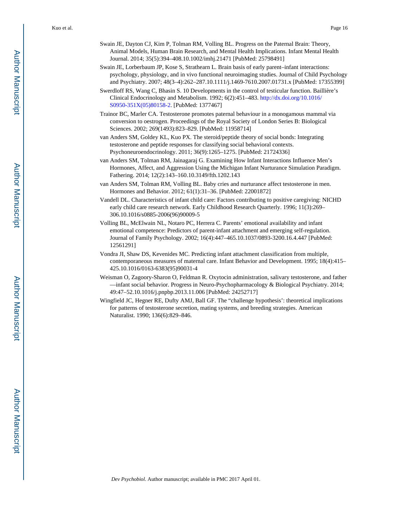- Swain JE, Dayton CJ, Kim P, Tolman RM, Volling BL. Progress on the Paternal Brain: Theory, Animal Models, Human Brain Research, and Mental Health Implications. Infant Mental Health Journal. 2014; 35(5):394–408.10.1002/imhj.21471 [PubMed: 25798491]
- Swain JE, Lorberbaum JP, Kose S, Strathearn L. Brain basis of early parent–infant interactions: psychology, physiology, and in vivo functional neuroimaging studies. Journal of Child Psychology and Psychiatry. 2007; 48(3–4):262–287.10.1111/j.1469-7610.2007.01731.x [PubMed: 17355399]
- Swerdloff RS, Wang C, Bhasin S. 10 Developments in the control of testicular function. Baillière's Clinical Endocrinology and Metabolism. 1992; 6(2):451–483. [http://dx.doi.org/10.1016/](http://dx.doi.org/10.1016/S0950-351X(05)80158-2) [S0950-351X\(05\)80158-2.](http://dx.doi.org/10.1016/S0950-351X(05)80158-2) [PubMed: 1377467]
- Trainor BC, Marler CA. Testosterone promotes paternal behaviour in a monogamous mammal via conversion to oestrogen. Proceedings of the Royal Society of London Series B: Biological Sciences. 2002; 269(1493):823–829. [PubMed: 11958714]
- van Anders SM, Goldey KL, Kuo PX. The steroid/peptide theory of social bonds: Integrating testosterone and peptide responses for classifying social behavioral contexts. Psychoneuroendocrinology. 2011; 36(9):1265–1275. [PubMed: 21724336]
- van Anders SM, Tolman RM, Jainagaraj G. Examining How Infant Interactions Influence Men's Hormones, Affect, and Aggression Using the Michigan Infant Nurturance Simulation Paradigm. Fathering. 2014; 12(2):143–160.10.3149/fth.1202.143
- van Anders SM, Tolman RM, Volling BL. Baby cries and nurturance affect testosterone in men. Hormones and Behavior. 2012; 61(1):31–36. [PubMed: 22001872]
- Vandell DL. Characteristics of infant child care: Factors contributing to positive caregiving: NICHD early child care research network. Early Childhood Research Quarterly. 1996; 11(3):269– 306.10.1016/s0885-2006(96)90009-5
- Volling BL, McElwain NL, Notaro PC, Herrera C. Parents' emotional availability and infant emotional competence: Predictors of parent-infant attachment and emerging self-regulation. Journal of Family Psychology. 2002; 16(4):447–465.10.1037/0893-3200.16.4.447 [PubMed: 12561291]
- Vondra JI, Shaw DS, Kevenides MC. Predicting infant attachment classification from multiple, contemporaneous measures of maternal care. Infant Behavior and Development. 1995; 18(4):415– 425.10.1016/0163-6383(95)90031-4
- Weisman O, Zagoory-Sharon O, Feldman R. Oxytocin administration, salivary testosterone, and father —infant social behavior. Progress in Neuro-Psychopharmacology & Biological Psychiatry. 2014; 49:47–52.10.1016/j.pnpbp.2013.11.006 [PubMed: 24252717]
- Wingfield JC, Hegner RE, Dufty AMJ, Ball GF. The "challenge hypothesis': theoretical implications for patterns of testosterone secretion, mating systems, and breeding strategies. American Naturalist. 1990; 136(6):829–846.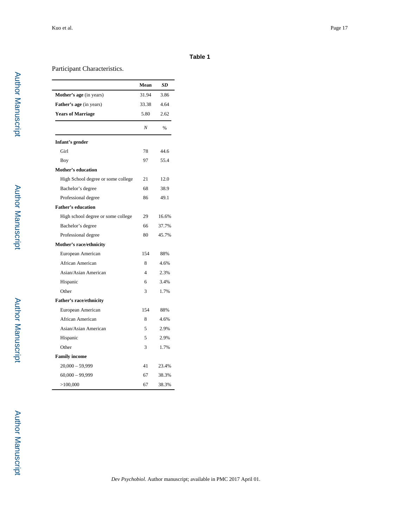#### **Table 1**

# Participant Characteristics.

|                                    | Mean  | <b>SD</b> |
|------------------------------------|-------|-----------|
| Mother's age (in years)            | 31.94 | 3.86      |
| Father's age (in years)            | 33.38 | 4.64      |
| <b>Years of Marriage</b>           | 5.80  | 2.62      |
|                                    | N     | %         |
| Infant's gender                    |       |           |
| Girl                               | 78    | 44.6      |
| Boy                                | 97    | 55.4      |
| Mother's education                 |       |           |
| High School degree or some college | 21    | 12.0      |
| Bachelor's degree                  | 68    | 38.9      |
| Professional degree                | 86    | 49.1      |
| <b>Father's education</b>          |       |           |
| High school degree or some college | 29    | 16.6%     |
| Bachelor's degree                  | 66    | 37.7%     |
| Professional degree                | 80    | 45.7%     |
| Mother's race/ethnicity            |       |           |
| European American                  | 154   | 88%       |
| African American                   | 8     | 4.6%      |
| Asian/Asian American               | 4     | 2.3%      |
| Hispanic                           | 6     | 3.4%      |
| Other                              | 3     | 1.7%      |
| <b>Father's race/ethnicity</b>     |       |           |
| European American                  | 154   | 88%       |
| African American                   | 8     | 4.6%      |
| Asian/Asian American               | 5     | 2.9%      |
| Hispanic                           | 5     | 2.9%      |
| Other                              | 3     | 1.7%      |
| <b>Family income</b>               |       |           |
| $20,000 - 59,999$                  | 41    | 23.4%     |
| $60,000 - 99,999$                  | 67    | 38.3%     |
| >100,000                           | 67    | 38.3%     |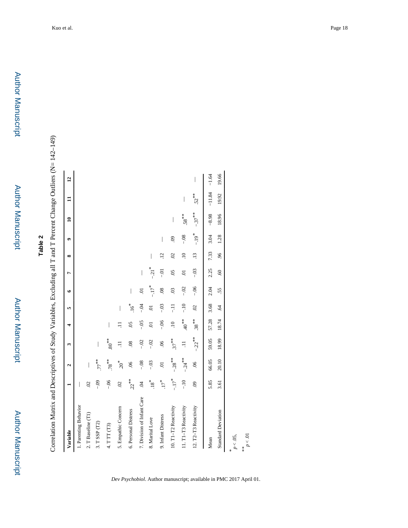# **Table 2**

Correlation Matrix and Descriptives of Study Variables, Excluding all T and T Percent Change Outliers (N= 142-149) Correlation Matrix and Descriptives of Study Variables, Excluding all T and T Percent Change Outliers (N= 142–149)

| Variable                   |                     | 2                         | 3                  | ٩              | ı,             | $\bullet$                | $\overline{ }$     | $\infty$       | $\bullet$                | $\mathbf{a}$ | $\mathbf{H}$ | $\overline{12}$ |
|----------------------------|---------------------|---------------------------|--------------------|----------------|----------------|--------------------------|--------------------|----------------|--------------------------|--------------|--------------|-----------------|
| 1. Parenting Behavior      |                     |                           |                    |                |                |                          |                    |                |                          |              |              |                 |
| 2. T Baseline (T1)         | $\mathfrak{S}$      | $\overline{\phantom{a}}$  |                    |                |                |                          |                    |                |                          |              |              |                 |
| 3. T SSP (T2)              | $-0.0$              | $\ast\ast$ Li             |                    |                |                |                          |                    |                |                          |              |              |                 |
| $4. TTT(T3)$               | $-0.06$             | $.78***$                  | $^{**}$ 80 $^\ast$ | I              |                |                          |                    |                |                          |              |              |                 |
| 5. Empathic Concern        | $\mathcal{O}$       | $20^*$                    | Ξ                  | Ξ              |                |                          |                    |                |                          |              |              |                 |
| 6. Personal Distress       | $22^{**}$           | $\widetilde{\mathcal{S}}$ | $\frac{8}{3}$      | SO             | $16$ $^*$      | $\overline{\phantom{a}}$ |                    |                |                          |              |              |                 |
| 7. Division of Infant Care | S.                  | $-0.8$                    | $-02$              | $-0.5$         | $-0.4$         | Ξ.                       |                    |                |                          |              |              |                 |
| 8. Marital Love            | $18*$               | $-0.3$                    | $-02$              | S              | ā              | $-.17$ <sup>*</sup>      | $-21$ <sup>*</sup> | $\bigg $       |                          |              |              |                 |
| 9. Infant Distress         | $\ddot{L}$          | S                         | $\frac{6}{2}$      | $-0.06$        | $-0.3$         | $\overline{0}$           | $-0.1$             | $\ddot{5}$     | $\overline{\phantom{a}}$ |              |              |                 |
| 10. T1-T2 Reactivity       | $-.17$ <sup>*</sup> | $-.28$ <sup>**</sup>      | $.37***$           | $\overline{a}$ | Ę              | $\overline{0}$           | $\overline{50}$    | $\overline{0}$ | $\overline{6}$           | $\mid$       |              |                 |
| 11. T1-T3 Reactivity       | $-10$               | $-24$ **                  | $\Xi$              | $**0*$         | $-10$          | $-02$                    | 5.                 | $\ddot{=}$     | $-0.8$                   | $.58^{**}$   | $\bigg $     |                 |
| 12. T2-T3 Reactivity       | 60                  | $\overline{0}$            | $-22^{**}$         | $.38^{***}$    | $\mathfrak{S}$ | $-06$                    | $-0.03$            | $\ddot{.}$     | $-19*$                   | $-.37***$    | $52^{**}$    |                 |
| Mean                       | 5.85                | 66.05                     | 59.05              | 57.28          | 3.68           | 2.04                     | 2.25               | 7.33           | 3.04                     | $-8.98$      | $-11.84$     | $-1.64$         |
| <b>Standard Deviation</b>  | 3.61                | 20.10                     | 18.99              | 18.74          | ġ              | 55.                      | 60                 | 96             | 1.28                     | 18.96        | 19.92        | 19.66           |